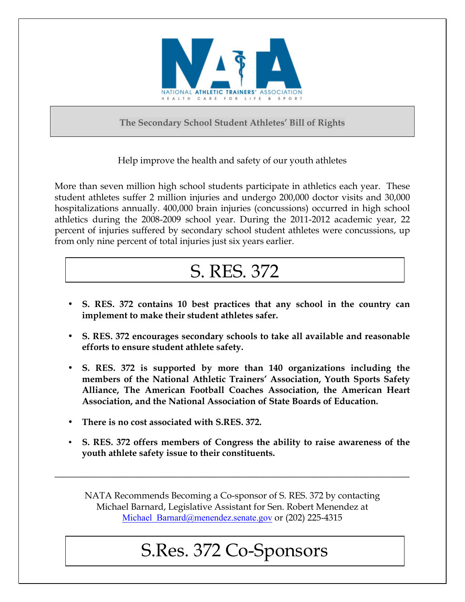

**The Secondary School Student Athletes' Bill of Rights**

Help improve the health and safety of our youth athletes

More than seven million high school students participate in athletics each year. These student athletes suffer 2 million injuries and undergo 200,000 doctor visits and 30,000 hospitalizations annually. 400,000 brain injuries (concussions) occurred in high school athletics during the 2008-2009 school year. During the 2011-2012 academic year, 22 percent of injuries suffered by secondary school student athletes were concussions, up from only nine percent of total injuries just six years earlier.

## S. RES. 372

- **S. RES. 372 contains 10 best practices that any school in the country can implement to make their student athletes safer.**
- **S. RES. 372 encourages secondary schools to take all available and reasonable efforts to ensure student athlete safety.**
- **S. RES. 372 is supported by more than 140 organizations including the members of the National Athletic Trainers' Association, Youth Sports Safety Alliance, The American Football Coaches Association, the American Heart Association, and the National Association of State Boards of Education.**
- **There is no cost associated with S.RES. 372.**
- **S. RES. 372 offers members of Congress the ability to raise awareness of the youth athlete safety issue to their constituents.**

NATA Recommends Becoming a Co-sponsor of S. RES. 372 by contacting Michael Barnard, Legislative Assistant for Sen. Robert Menendez at Michael Barnard@menendez.senate.gov or (202) 225-4315

**\_\_\_\_\_\_\_\_\_\_\_\_\_\_\_\_\_\_\_\_\_\_\_\_\_\_\_\_\_\_\_\_\_\_\_\_\_\_\_\_\_\_\_\_\_\_\_\_\_\_\_\_\_\_\_\_\_\_\_\_\_\_\_\_\_\_\_\_\_\_\_\_\_\_\_\_\_\_\_\_\_\_\_\_\_**

## $577$  Co-500 S.Res. 372 Co-Sponsors